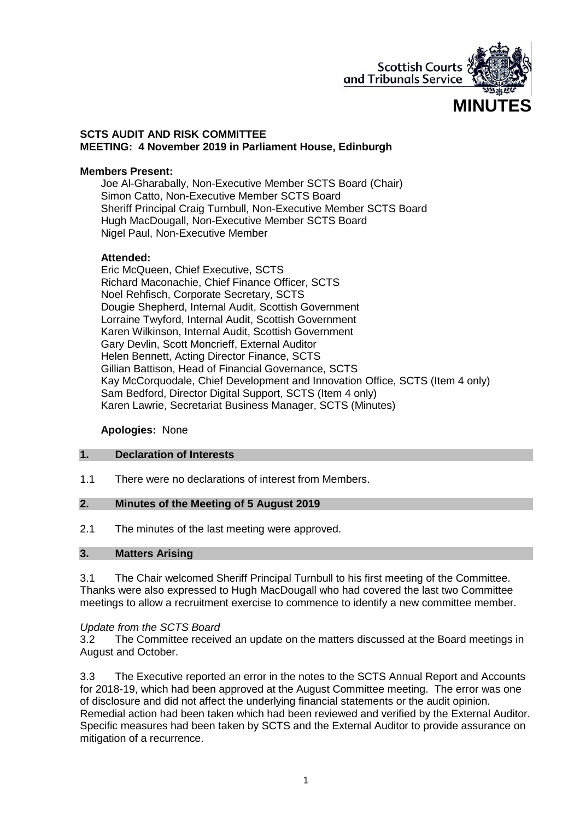

#### **SCTS AUDIT AND RISK COMMITTEE MEETING: 4 November 2019 in Parliament House, Edinburgh**

#### **Members Present:**

Joe Al-Gharabally, Non-Executive Member SCTS Board (Chair) Simon Catto, Non-Executive Member SCTS Board Sheriff Principal Craig Turnbull, Non-Executive Member SCTS Board Hugh MacDougall, Non-Executive Member SCTS Board Nigel Paul, Non-Executive Member

#### **Attended:**

Eric McQueen, Chief Executive, SCTS Richard Maconachie, Chief Finance Officer, SCTS Noel Rehfisch, Corporate Secretary, SCTS Dougie Shepherd, Internal Audit, Scottish Government Lorraine Twyford, Internal Audit, Scottish Government Karen Wilkinson, Internal Audit, Scottish Government Gary Devlin, Scott Moncrieff, External Auditor Helen Bennett, Acting Director Finance, SCTS Gillian Battison, Head of Financial Governance, SCTS Kay McCorquodale, Chief Development and Innovation Office, SCTS (Item 4 only) Sam Bedford, Director Digital Support, SCTS (Item 4 only) Karen Lawrie, Secretariat Business Manager, SCTS (Minutes)

### **Apologies:** None

### **1. Declaration of Interests**

1.1 There were no declarations of interest from Members.

#### **2. Minutes of the Meeting of 5 August 2019**

2.1 The minutes of the last meeting were approved.

#### **3. Matters Arising**

3.1 The Chair welcomed Sheriff Principal Turnbull to his first meeting of the Committee. Thanks were also expressed to Hugh MacDougall who had covered the last two Committee meetings to allow a recruitment exercise to commence to identify a new committee member.

#### *Update from the SCTS Board*

3.2 The Committee received an update on the matters discussed at the Board meetings in August and October.

3.3 The Executive reported an error in the notes to the SCTS Annual Report and Accounts for 2018-19, which had been approved at the August Committee meeting. The error was one of disclosure and did not affect the underlying financial statements or the audit opinion. Remedial action had been taken which had been reviewed and verified by the External Auditor. Specific measures had been taken by SCTS and the External Auditor to provide assurance on mitigation of a recurrence.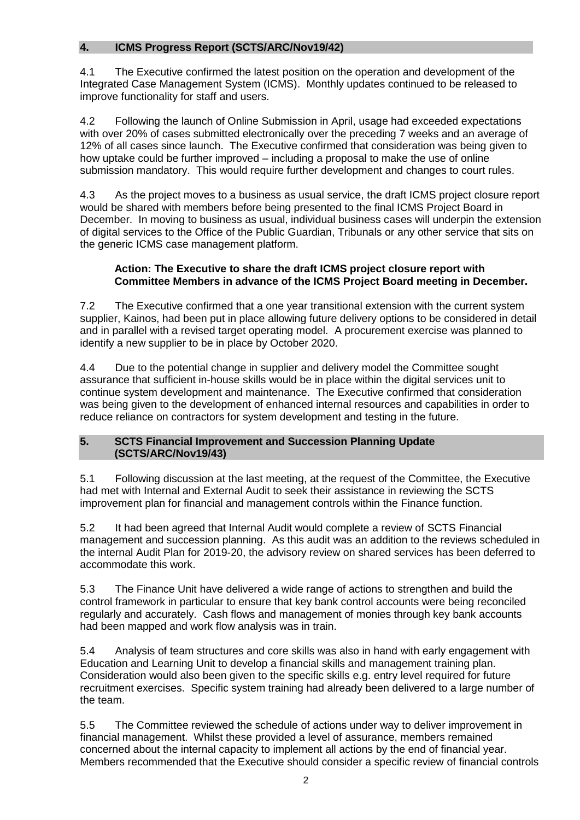# **4. ICMS Progress Report (SCTS/ARC/Nov19/42)**

4.1 The Executive confirmed the latest position on the operation and development of the Integrated Case Management System (ICMS). Monthly updates continued to be released to improve functionality for staff and users.

4.2 Following the launch of Online Submission in April, usage had exceeded expectations with over 20% of cases submitted electronically over the preceding 7 weeks and an average of 12% of all cases since launch. The Executive confirmed that consideration was being given to how uptake could be further improved – including a proposal to make the use of online submission mandatory. This would require further development and changes to court rules.

4.3 As the project moves to a business as usual service, the draft ICMS project closure report would be shared with members before being presented to the final ICMS Project Board in December. In moving to business as usual, individual business cases will underpin the extension of digital services to the Office of the Public Guardian, Tribunals or any other service that sits on the generic ICMS case management platform.

# **Action: The Executive to share the draft ICMS project closure report with Committee Members in advance of the ICMS Project Board meeting in December.**

7.2 The Executive confirmed that a one year transitional extension with the current system supplier, Kainos, had been put in place allowing future delivery options to be considered in detail and in parallel with a revised target operating model. A procurement exercise was planned to identify a new supplier to be in place by October 2020.

4.4 Due to the potential change in supplier and delivery model the Committee sought assurance that sufficient in-house skills would be in place within the digital services unit to continue system development and maintenance. The Executive confirmed that consideration was being given to the development of enhanced internal resources and capabilities in order to reduce reliance on contractors for system development and testing in the future.

# **5. SCTS Financial Improvement and Succession Planning Update (SCTS/ARC/Nov19/43)**

5.1 Following discussion at the last meeting, at the request of the Committee, the Executive had met with Internal and External Audit to seek their assistance in reviewing the SCTS improvement plan for financial and management controls within the Finance function.

5.2 It had been agreed that Internal Audit would complete a review of SCTS Financial management and succession planning. As this audit was an addition to the reviews scheduled in the internal Audit Plan for 2019-20, the advisory review on shared services has been deferred to accommodate this work.

5.3 The Finance Unit have delivered a wide range of actions to strengthen and build the control framework in particular to ensure that key bank control accounts were being reconciled regularly and accurately. Cash flows and management of monies through key bank accounts had been mapped and work flow analysis was in train.

5.4 Analysis of team structures and core skills was also in hand with early engagement with Education and Learning Unit to develop a financial skills and management training plan. Consideration would also been given to the specific skills e.g. entry level required for future recruitment exercises. Specific system training had already been delivered to a large number of the team.

5.5 The Committee reviewed the schedule of actions under way to deliver improvement in financial management. Whilst these provided a level of assurance, members remained concerned about the internal capacity to implement all actions by the end of financial year. Members recommended that the Executive should consider a specific review of financial controls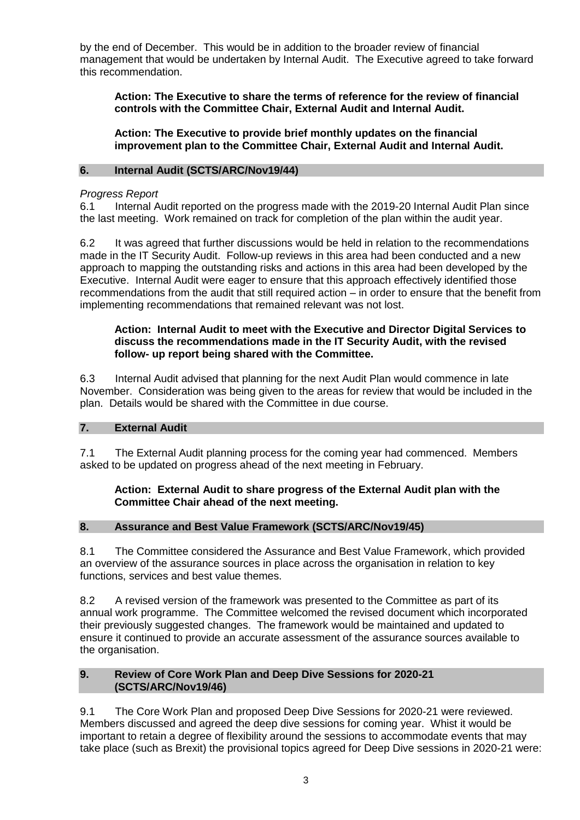by the end of December. This would be in addition to the broader review of financial management that would be undertaken by Internal Audit. The Executive agreed to take forward this recommendation.

**Action: The Executive to share the terms of reference for the review of financial controls with the Committee Chair, External Audit and Internal Audit.** 

**Action: The Executive to provide brief monthly updates on the financial improvement plan to the Committee Chair, External Audit and Internal Audit.** 

#### **6. Internal Audit (SCTS/ARC/Nov19/44)**

#### *Progress Report*

6.1 Internal Audit reported on the progress made with the 2019-20 Internal Audit Plan since the last meeting. Work remained on track for completion of the plan within the audit year.

6.2 It was agreed that further discussions would be held in relation to the recommendations made in the IT Security Audit. Follow-up reviews in this area had been conducted and a new approach to mapping the outstanding risks and actions in this area had been developed by the Executive. Internal Audit were eager to ensure that this approach effectively identified those recommendations from the audit that still required action – in order to ensure that the benefit from implementing recommendations that remained relevant was not lost.

#### **Action: Internal Audit to meet with the Executive and Director Digital Services to discuss the recommendations made in the IT Security Audit, with the revised follow- up report being shared with the Committee.**

6.3 Internal Audit advised that planning for the next Audit Plan would commence in late November. Consideration was being given to the areas for review that would be included in the plan. Details would be shared with the Committee in due course.

### **7. External Audit**

7.1 The External Audit planning process for the coming year had commenced. Members asked to be updated on progress ahead of the next meeting in February.

### **Action: External Audit to share progress of the External Audit plan with the Committee Chair ahead of the next meeting.**

### **8. Assurance and Best Value Framework (SCTS/ARC/Nov19/45)**

8.1 The Committee considered the Assurance and Best Value Framework, which provided an overview of the assurance sources in place across the organisation in relation to key functions, services and best value themes.

8.2 A revised version of the framework was presented to the Committee as part of its annual work programme. The Committee welcomed the revised document which incorporated their previously suggested changes. The framework would be maintained and updated to ensure it continued to provide an accurate assessment of the assurance sources available to the organisation.

#### **9. Review of Core Work Plan and Deep Dive Sessions for 2020-21 (SCTS/ARC/Nov19/46)**

9.1 The Core Work Plan and proposed Deep Dive Sessions for 2020-21 were reviewed. Members discussed and agreed the deep dive sessions for coming year. Whist it would be important to retain a degree of flexibility around the sessions to accommodate events that may take place (such as Brexit) the provisional topics agreed for Deep Dive sessions in 2020-21 were: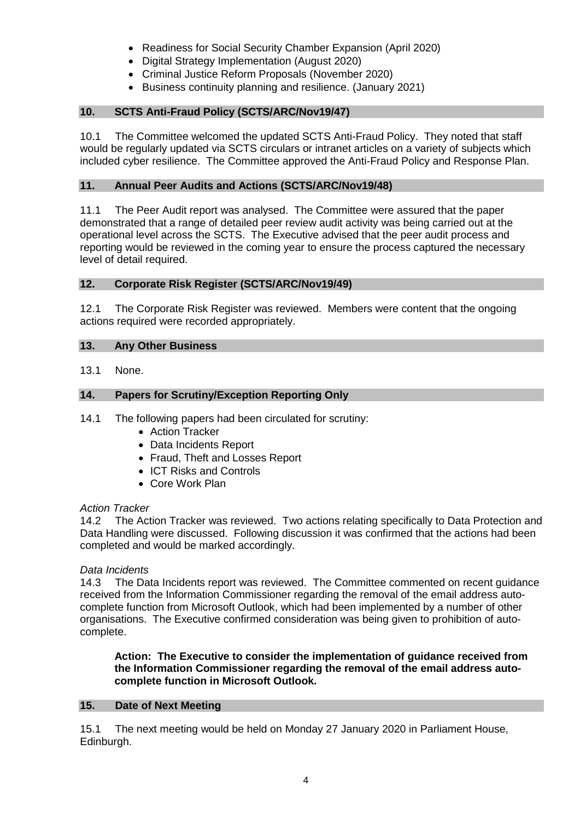- Readiness for Social Security Chamber Expansion (April 2020)
- Digital Strategy Implementation (August 2020)
- Criminal Justice Reform Proposals (November 2020)
- Business continuity planning and resilience. (January 2021)

## **10. SCTS Anti-Fraud Policy (SCTS/ARC/Nov19/47)**

10.1 The Committee welcomed the updated SCTS Anti-Fraud Policy. They noted that staff would be regularly updated via SCTS circulars or intranet articles on a variety of subjects which included cyber resilience. The Committee approved the Anti-Fraud Policy and Response Plan.

# **11. Annual Peer Audits and Actions (SCTS/ARC/Nov19/48)**

11.1 The Peer Audit report was analysed. The Committee were assured that the paper demonstrated that a range of detailed peer review audit activity was being carried out at the operational level across the SCTS. The Executive advised that the peer audit process and reporting would be reviewed in the coming year to ensure the process captured the necessary level of detail required.

## **12. Corporate Risk Register (SCTS/ARC/Nov19/49)**

12.1 The Corporate Risk Register was reviewed. Members were content that the ongoing actions required were recorded appropriately.

# **13. Any Other Business**

13.1 None.

# **14. Papers for Scrutiny/Exception Reporting Only**

- 14.1 The following papers had been circulated for scrutiny:
	- Action Tracker
	- Data Incidents Report
	- Fraud, Theft and Losses Report
	- ICT Risks and Controls
	- Core Work Plan

### *Action Tracker*

14.2 The Action Tracker was reviewed. Two actions relating specifically to Data Protection and Data Handling were discussed. Following discussion it was confirmed that the actions had been completed and would be marked accordingly.

### *Data Incidents*

14.3 The Data Incidents report was reviewed. The Committee commented on recent guidance received from the Information Commissioner regarding the removal of the email address autocomplete function from Microsoft Outlook, which had been implemented by a number of other organisations. The Executive confirmed consideration was being given to prohibition of autocomplete.

#### **Action: The Executive to consider the implementation of guidance received from the Information Commissioner regarding the removal of the email address autocomplete function in Microsoft Outlook.**

### **15. Date of Next Meeting**

15.1 The next meeting would be held on Monday 27 January 2020 in Parliament House, Edinburgh.